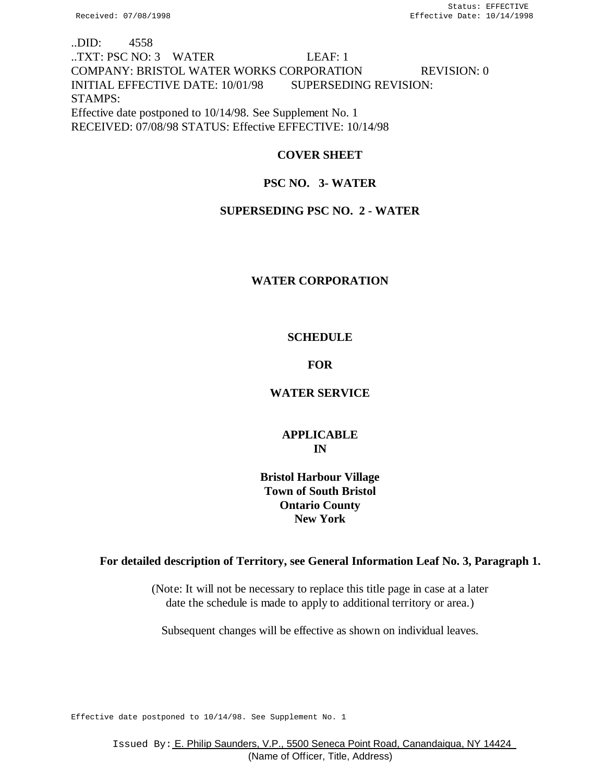# ..DID: 4558 ..TXT: PSC NO: 3 WATER LEAF: 1 COMPANY: BRISTOL WATER WORKS CORPORATION REVISION: 0 INITIAL EFFECTIVE DATE: 10/01/98 SUPERSEDING REVISION: STAMPS: Effective date postponed to 10/14/98. See Supplement No. 1 RECEIVED: 07/08/98 STATUS: Effective EFFECTIVE: 10/14/98

# **COVER SHEET**

# **PSC NO. 3- WATER**

# **SUPERSEDING PSC NO. 2 - WATER**

# **WATER CORPORATION**

# **SCHEDULE**

# **FOR**

# **WATER SERVICE**

# **APPLICABLE IN**

# **Bristol Harbour Village Town of South Bristol Ontario County New York**

# **For detailed description of Territory, see General Information Leaf No. 3, Paragraph 1.**

(Note: It will not be necessary to replace this title page in case at a later date the schedule is made to apply to additional territory or area.)

Subsequent changes will be effective as shown on individual leaves.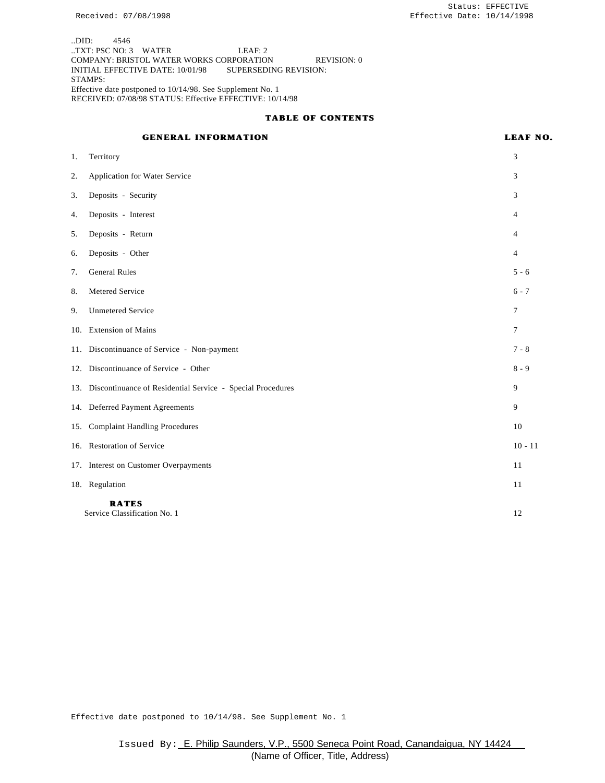..DID: 4546 ..TXT: PSC NO: 3 WATER LEAF: 2 COMPANY: BRISTOL WATER WORKS CORPORATION REVISION: 0 INITIAL EFFECTIVE DATE: 10/01/98 SUPERSEDING REVISION: STAMPS: Effective date postponed to 10/14/98. See Supplement No. 1 RECEIVED: 07/08/98 STATUS: Effective EFFECTIVE: 10/14/98

#### **TABLE OF CONTENTS**

## **GENERAL INFORMATION LEAF NO.**

| 1. | Territory                                                      | 3              |
|----|----------------------------------------------------------------|----------------|
| 2. | Application for Water Service                                  | 3              |
| 3. | Deposits - Security                                            | 3              |
| 4. | Deposits - Interest                                            | 4              |
| 5. | Deposits - Return                                              | 4              |
| 6. | Deposits - Other                                               | $\overline{4}$ |
| 7. | <b>General Rules</b>                                           | $5 - 6$        |
| 8. | Metered Service                                                | $6 - 7$        |
| 9. | <b>Unmetered Service</b>                                       | 7              |
|    | 10. Extension of Mains                                         | $\tau$         |
|    | 11. Discontinuance of Service - Non-payment                    | $7 - 8$        |
|    | 12. Discontinuance of Service - Other                          | $8 - 9$        |
|    | 13. Discontinuance of Residential Service - Special Procedures | 9              |
|    | 14. Deferred Payment Agreements                                | 9              |
|    | 15. Complaint Handling Procedures                              | 10             |
|    | 16. Restoration of Service                                     | $10 - 11$      |
|    | 17. Interest on Customer Overpayments                          | 11             |
|    | 18. Regulation                                                 | 11             |
|    | <b>RATES</b><br>Service Classification No. 1                   | 12             |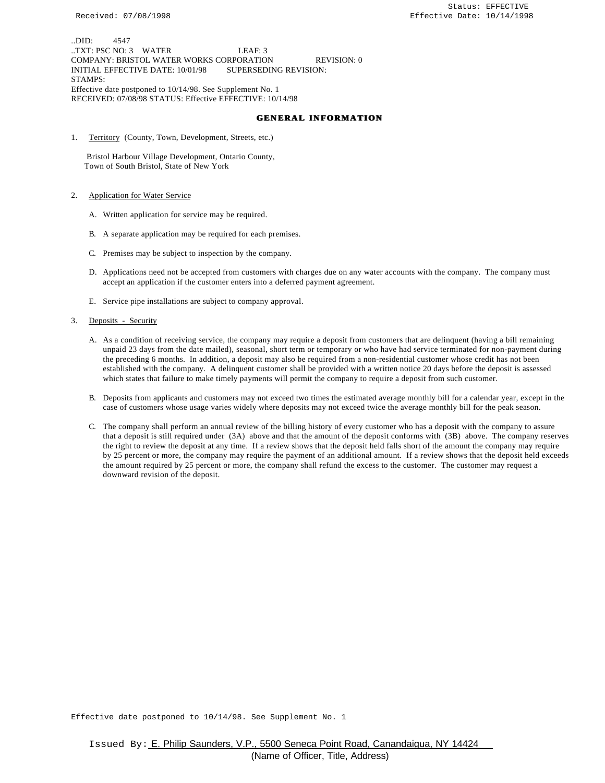..DID: 4547 ..TXT: PSC NO: 3 WATER LEAF: 3 COMPANY: BRISTOL WATER WORKS CORPORATION REVISION: 0 INITIAL EFFECTIVE DATE: 10/01/98 SUPERSEDING REVISION: STAMPS: Effective date postponed to 10/14/98. See Supplement No. 1 RECEIVED: 07/08/98 STATUS: Effective EFFECTIVE: 10/14/98

#### **GENERAL INFORMATION**

1. Territory (County, Town, Development, Streets, etc.)

 Bristol Harbour Village Development, Ontario County, Town of South Bristol, State of New York

- 2. Application for Water Service
	- A. Written application for service may be required.
	- B. A separate application may be required for each premises.
	- C. Premises may be subject to inspection by the company.
	- D. Applications need not be accepted from customers with charges due on any water accounts with the company. The company must accept an application if the customer enters into a deferred payment agreement.
	- E. Service pipe installations are subject to company approval.
- 3. Deposits Security
	- A. As a condition of receiving service, the company may require a deposit from customers that are delinquent (having a bill remaining unpaid 23 days from the date mailed), seasonal, short term or temporary or who have had service terminated for non-payment during the preceding 6 months. In addition, a deposit may also be required from a non-residential customer whose credit has not been established with the company. A delinquent customer shall be provided with a written notice 20 days before the deposit is assessed which states that failure to make timely payments will permit the company to require a deposit from such customer.
	- B. Deposits from applicants and customers may not exceed two times the estimated average monthly bill for a calendar year, except in the case of customers whose usage varies widely where deposits may not exceed twice the average monthly bill for the peak season.
	- C. The company shall perform an annual review of the billing history of every customer who has a deposit with the company to assure that a deposit is still required under (3A) above and that the amount of the deposit conforms with (3B) above. The company reserves the right to review the deposit at any time. If a review shows that the deposit held falls short of the amount the company may require by 25 percent or more, the company may require the payment of an additional amount. If a review shows that the deposit held exceeds the amount required by 25 percent or more, the company shall refund the excess to the customer. The customer may request a downward revision of the deposit.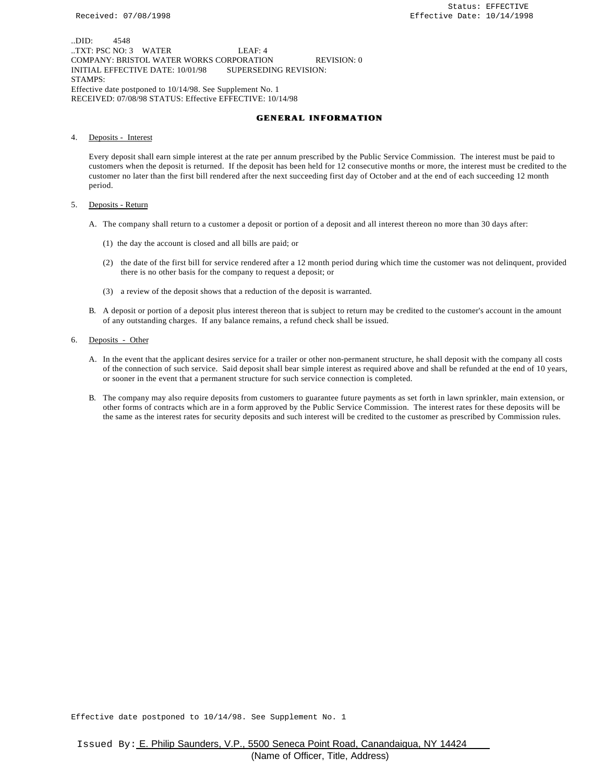..DID: 4548 ..TXT: PSC NO: 3 WATER LEAF: 4 COMPANY: BRISTOL WATER WORKS CORPORATION REVISION: 0 INITIAL EFFECTIVE DATE: 10/01/98 SUPERSEDING REVISION: STAMPS: Effective date postponed to 10/14/98. See Supplement No. 1 RECEIVED: 07/08/98 STATUS: Effective EFFECTIVE: 10/14/98

#### **GENERAL INFORMATION**

4. Deposits - Interest

Every deposit shall earn simple interest at the rate per annum prescribed by the Public Service Commission. The interest must be paid to customers when the deposit is returned. If the deposit has been held for 12 consecutive months or more, the interest must be credited to the customer no later than the first bill rendered after the next succeeding first day of October and at the end of each succeeding 12 month period.

#### 5. Deposits - Return

- A. The company shall return to a customer a deposit or portion of a deposit and all interest thereon no more than 30 days after:
	- (1) the day the account is closed and all bills are paid; or
	- (2) the date of the first bill for service rendered after a 12 month period during which time the customer was not delinquent, provided there is no other basis for the company to request a deposit; or
	- (3) a review of the deposit shows that a reduction of the deposit is warranted.
- B. A deposit or portion of a deposit plus interest thereon that is subject to return may be credited to the customer's account in the amount of any outstanding charges. If any balance remains, a refund check shall be issued.
- 6. Deposits Other
	- A. In the event that the applicant desires service for a trailer or other non-permanent structure, he shall deposit with the company all costs of the connection of such service. Said deposit shall bear simple interest as required above and shall be refunded at the end of 10 years, or sooner in the event that a permanent structure for such service connection is completed.
	- B. The company may also require deposits from customers to guarantee future payments as set forth in lawn sprinkler, main extension, or other forms of contracts which are in a form approved by the Public Service Commission. The interest rates for these deposits will be the same as the interest rates for security deposits and such interest will be credited to the customer as prescribed by Commission rules.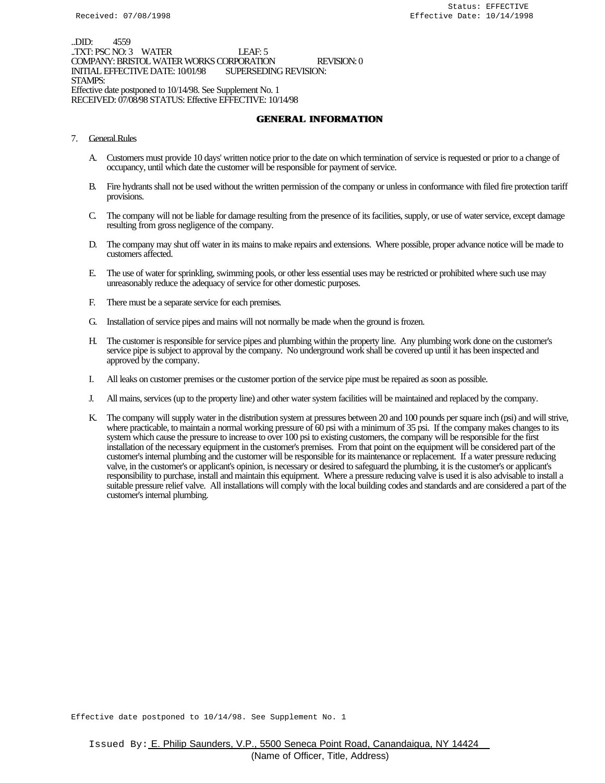..DID: 4559 ..TXT: PSC NO: 3 WATER LEAF: 5 COMPANY: BRISTOL WATER WORKS CORPORATION REVISION: 0<br>INITIAL EFFECTIVE DATE: 10/01/98 SUPERSEDING REVISION: INITIAL EFFECTIVE DATE: 10/01/98 STAMPS: Effective date postponed to 10/14/98. See Supplement No. 1 RECEIVED: 07/08/98 STATUS: Effective EFFECTIVE: 10/14/98

## **GENERAL INFORMATION**

- 7. General Rules
	- A. Customers must provide 10 days' written notice prior to the date on which termination of service is requested or prior to a change of occupancy, until which date the customer will be responsible for payment of service.
	- B. Fire hydrants shall not be used without the written permission of the company or unless in conformance with filed fire protection tariff provisions.
	- C. The company will not be liable for damage resulting from the presence of its facilities, supply, or use of water service, except damage resulting from gross negligence of the company.
	- D. The company may shut off water in its mains to make repairs and extensions. Where possible, proper advance notice will be made to customers affected.
	- E. The use of water for sprinkling, swimming pools, or other less essential uses may be restricted or prohibited where such use may unreasonably reduce the adequacy of service for other domestic purposes.
	- F. There must be a separate service for each premises.
	- G. Installation of service pipes and mains will not normally be made when the ground is frozen.
	- H. The customer is responsible for service pipes and plumbing within the property line. Any plumbing work done on the customer's service pipe is subject to approval by the company. No underground work shall be covered up until it has been inspected and approved by the company.
	- I. All leaks on customer premises or the customer portion of the service pipe must be repaired as soon as possible.
	- J. All mains, services (up to the property line) and other water system facilities will be maintained and replaced by the company.
	- K. The company will supply water in the distribution system at pressures between 20 and 100 pounds per square inch (psi) and will strive, where practicable, to maintain a normal working pressure of 60 psi with a minimum of 35 psi. If the company makes changes to its system which cause the pressure to increase to over 100 psi to existing customers, the company will be responsible for the first installation of the necessary equipment in the customer's premises. From that point on the equipment will be considered part of the customer's internal plumbing and the customer will be responsible for its maintenance or replacement. If a water pressure reducing valve, in the customer's or applicant's opinion, is necessary or desired to safeguard the plumbing, it is the customer's or applicant's responsibility to purchase, install and maintain this equipment. Where a pressure reducing valve is used it is also advisable to install a suitable pressure relief valve. All installations will comply with the local building codes and standards and are considered a part of the customer's internal plumbing.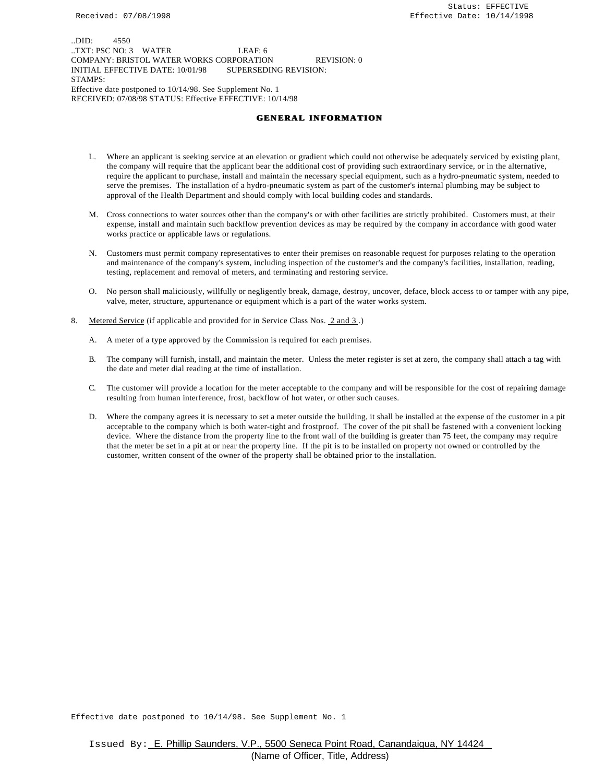..DID: 4550 ..TXT: PSC NO: 3 WATER LEAF: 6 COMPANY: BRISTOL WATER WORKS CORPORATION REVISION: 0 INITIAL EFFECTIVE DATE: 10/01/98 SUPERSEDING REVISION: STAMPS: Effective date postponed to 10/14/98. See Supplement No. 1 RECEIVED: 07/08/98 STATUS: Effective EFFECTIVE: 10/14/98

#### **GENERAL INFORMATION**

- L. Where an applicant is seeking service at an elevation or gradient which could not otherwise be adequately serviced by existing plant, the company will require that the applicant bear the additional cost of providing such extraordinary service, or in the alternative, require the applicant to purchase, install and maintain the necessary special equipment, such as a hydro-pneumatic system, needed to serve the premises. The installation of a hydro-pneumatic system as part of the customer's internal plumbing may be subject to approval of the Health Department and should comply with local building codes and standards.
- M. Cross connections to water sources other than the company's or with other facilities are strictly prohibited. Customers must, at their expense, install and maintain such backflow prevention devices as may be required by the company in accordance with good water works practice or applicable laws or regulations.
- N. Customers must permit company representatives to enter their premises on reasonable request for purposes relating to the operation and maintenance of the company's system, including inspection of the customer's and the company's facilities, installation, reading, testing, replacement and removal of meters, and terminating and restoring service.
- O. No person shall maliciously, willfully or negligently break, damage, destroy, uncover, deface, block access to or tamper with any pipe, valve, meter, structure, appurtenance or equipment which is a part of the water works system.
- 8. Metered Service (if applicable and provided for in Service Class Nos. 2 and 3.)
	- A. A meter of a type approved by the Commission is required for each premises.
	- B. The company will furnish, install, and maintain the meter. Unless the meter register is set at zero, the company shall attach a tag with the date and meter dial reading at the time of installation.
	- C. The customer will provide a location for the meter acceptable to the company and will be responsible for the cost of repairing damage resulting from human interference, frost, backflow of hot water, or other such causes.
	- D. Where the company agrees it is necessary to set a meter outside the building, it shall be installed at the expense of the customer in a pit acceptable to the company which is both water-tight and frostproof. The cover of the pit shall be fastened with a convenient locking device. Where the distance from the property line to the front wall of the building is greater than 75 feet, the company may require that the meter be set in a pit at or near the property line. If the pit is to be installed on property not owned or controlled by the customer, written consent of the owner of the property shall be obtained prior to the installation.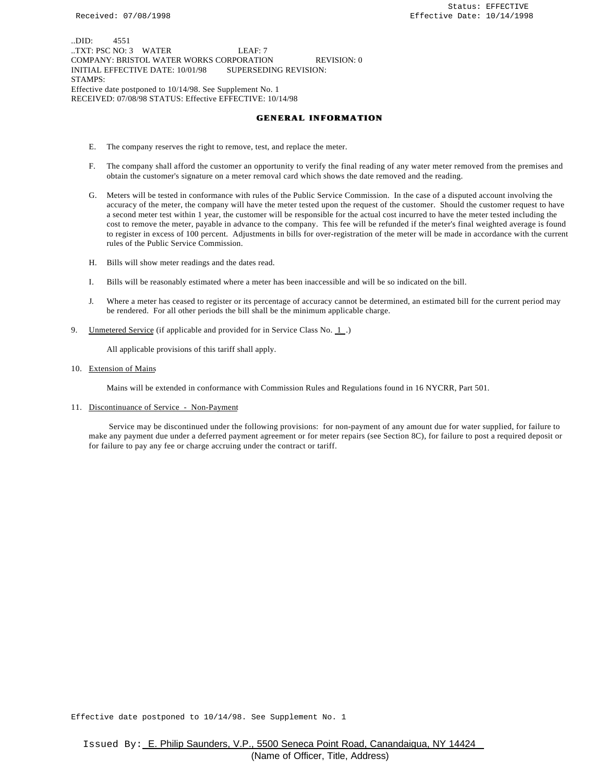..DID: 4551 ..TXT: PSC NO: 3 WATER LEAF: 7 COMPANY: BRISTOL WATER WORKS CORPORATION REVISION: 0 INITIAL EFFECTIVE DATE: 10/01/98 SUPERSEDING REVISION: STAMPS: Effective date postponed to 10/14/98. See Supplement No. 1 RECEIVED: 07/08/98 STATUS: Effective EFFECTIVE: 10/14/98

#### **GENERAL INFORMATION**

- E. The company reserves the right to remove, test, and replace the meter.
- F. The company shall afford the customer an opportunity to verify the final reading of any water meter removed from the premises and obtain the customer's signature on a meter removal card which shows the date removed and the reading.
- G. Meters will be tested in conformance with rules of the Public Service Commission. In the case of a disputed account involving the accuracy of the meter, the company will have the meter tested upon the request of the customer. Should the customer request to have a second meter test within 1 year, the customer will be responsible for the actual cost incurred to have the meter tested including the cost to remove the meter, payable in advance to the company. This fee will be refunded if the meter's final weighted average is found to register in excess of 100 percent. Adjustments in bills for over-registration of the meter will be made in accordance with the current rules of the Public Service Commission.
- H. Bills will show meter readings and the dates read.
- I. Bills will be reasonably estimated where a meter has been inaccessible and will be so indicated on the bill.
- J. Where a meter has ceased to register or its percentage of accuracy cannot be determined, an estimated bill for the current period may be rendered. For all other periods the bill shall be the minimum applicable charge.
- 9. Unmetered Service (if applicable and provided for in Service Class No. 1.)

All applicable provisions of this tariff shall apply.

10. Extension of Mains

Mains will be extended in conformance with Commission Rules and Regulations found in 16 NYCRR, Part 501.

11. Discontinuance of Service - Non-Payment

 Service may be discontinued under the following provisions: for non-payment of any amount due for water supplied, for failure to make any payment due under a deferred payment agreement or for meter repairs (see Section 8C), for failure to post a required deposit or for failure to pay any fee or charge accruing under the contract or tariff.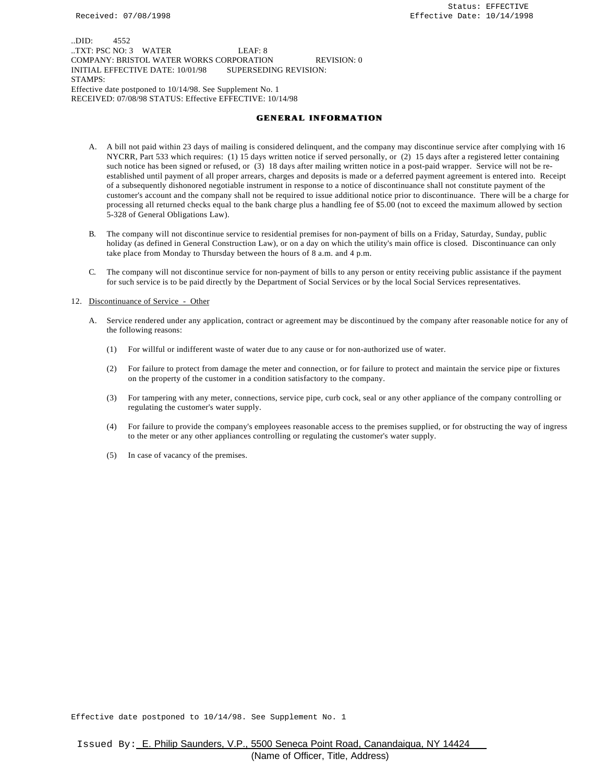..DID: 4552 ..TXT: PSC NO: 3 WATER LEAF: 8 COMPANY: BRISTOL WATER WORKS CORPORATION REVISION: 0 INITIAL EFFECTIVE DATE: 10/01/98 SUPERSEDING REVISION: STAMPS: Effective date postponed to 10/14/98. See Supplement No. 1 RECEIVED: 07/08/98 STATUS: Effective EFFECTIVE: 10/14/98

#### **GENERAL INFORMATION**

- A. A bill not paid within 23 days of mailing is considered delinquent, and the company may discontinue service after complying with 16 NYCRR, Part 533 which requires: (1) 15 days written notice if served personally, or (2) 15 days after a registered letter containing such notice has been signed or refused, or (3) 18 days after mailing written notice in a post-paid wrapper. Service will not be reestablished until payment of all proper arrears, charges and deposits is made or a deferred payment agreement is entered into. Receipt of a subsequently dishonored negotiable instrument in response to a notice of discontinuance shall not constitute payment of the customer's account and the company shall not be required to issue additional notice prior to discontinuance. There will be a charge for processing all returned checks equal to the bank charge plus a handling fee of \$5.00 (not to exceed the maximum allowed by section 5-328 of General Obligations Law).
- B. The company will not discontinue service to residential premises for non-payment of bills on a Friday, Saturday, Sunday, public holiday (as defined in General Construction Law), or on a day on which the utility's main office is closed. Discontinuance can only take place from Monday to Thursday between the hours of 8 a.m. and 4 p.m.
- C. The company will not discontinue service for non-payment of bills to any person or entity receiving public assistance if the payment for such service is to be paid directly by the Department of Social Services or by the local Social Services representatives.

#### 12. Discontinuance of Service - Other

- A. Service rendered under any application, contract or agreement may be discontinued by the company after reasonable notice for any of the following reasons:
	- (1) For willful or indifferent waste of water due to any cause or for non-authorized use of water.
	- (2) For failure to protect from damage the meter and connection, or for failure to protect and maintain the service pipe or fixtures on the property of the customer in a condition satisfactory to the company.
	- (3) For tampering with any meter, connections, service pipe, curb cock, seal or any other appliance of the company controlling or regulating the customer's water supply.
	- (4) For failure to provide the company's employees reasonable access to the premises supplied, or for obstructing the way of ingress to the meter or any other appliances controlling or regulating the customer's water supply.
	- (5) In case of vacancy of the premises.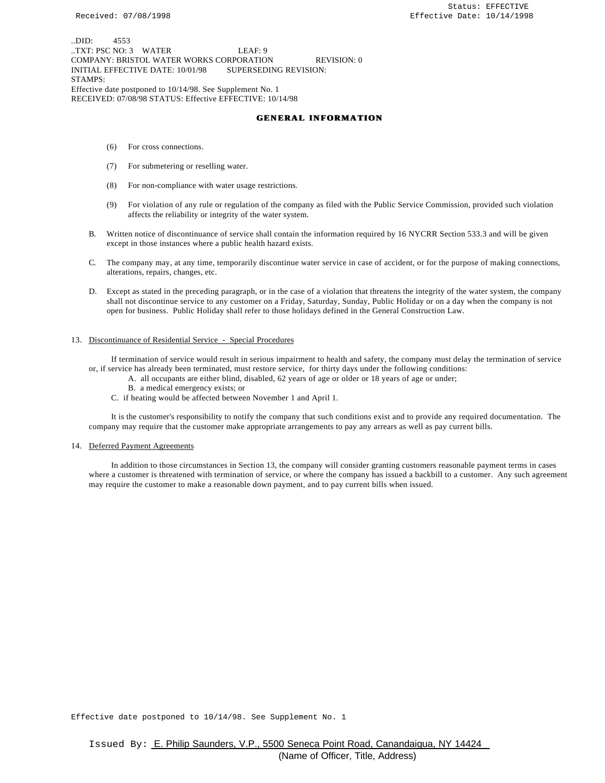..DID: 4553 ..TXT: PSC NO: 3 WATER LEAF: 9 COMPANY: BRISTOL WATER WORKS CORPORATION REVISION: 0 INITIAL EFFECTIVE DATE: 10/01/98 SUPERSEDING REVISION: STAMPS: Effective date postponed to 10/14/98. See Supplement No. 1 RECEIVED: 07/08/98 STATUS: Effective EFFECTIVE: 10/14/98

#### **GENERAL INFORMATION**

- (6) For cross connections.
- (7) For submetering or reselling water.
- (8) For non-compliance with water usage restrictions.
- (9) For violation of any rule or regulation of the company as filed with the Public Service Commission, provided such violation affects the reliability or integrity of the water system.
- B. Written notice of discontinuance of service shall contain the information required by 16 NYCRR Section 533.3 and will be given except in those instances where a public health hazard exists.
- C. The company may, at any time, temporarily discontinue water service in case of accident, or for the purpose of making connections, alterations, repairs, changes, etc.
- D. Except as stated in the preceding paragraph, or in the case of a violation that threatens the integrity of the water system, the company shall not discontinue service to any customer on a Friday, Saturday, Sunday, Public Holiday or on a day when the company is not open for business. Public Holiday shall refer to those holidays defined in the General Construction Law.

#### 13. Discontinuance of Residential Service - Special Procedures

 If termination of service would result in serious impairment to health and safety, the company must delay the termination of service or, if service has already been terminated, must restore service, for thirty days under the following conditions:

- A. all occupants are either blind, disabled, 62 years of age or older or 18 years of age or under;
- B. a medical emergency exists; or
- C. if heating would be affected between November 1 and April 1.

 It is the customer's responsibility to notify the company that such conditions exist and to provide any required documentation. The company may require that the customer make appropriate arrangements to pay any arrears as well as pay current bills.

#### 14. Deferred Payment Agreements

 In addition to those circumstances in Section 13, the company will consider granting customers reasonable payment terms in cases where a customer is threatened with termination of service, or where the company has issued a backbill to a customer. Any such agreement may require the customer to make a reasonable down payment, and to pay current bills when issued.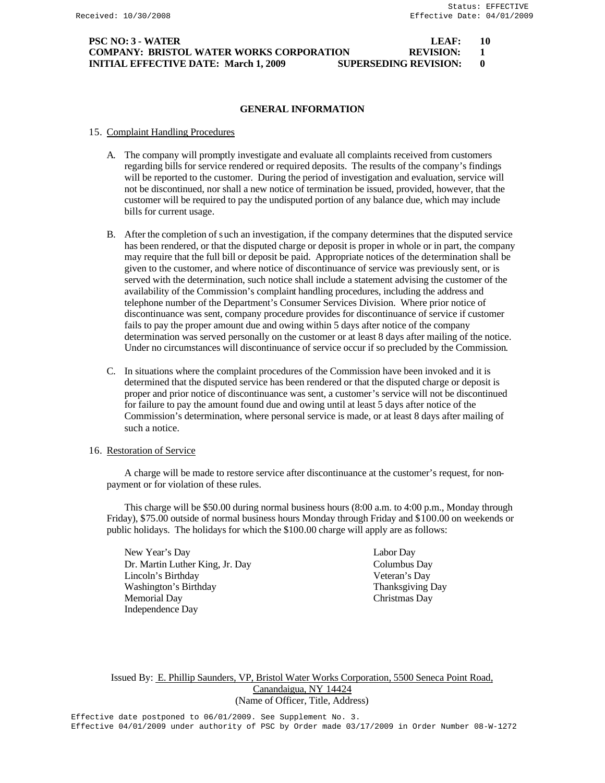## **PSC NO: 3 - WATER LEAF: 10 COMPANY: BRISTOL WATER WORKS CORPORATION REVISION: 1 INITIAL EFFECTIVE DATE: March 1, 2009 SUPERSEDING REVISION: 0**

## **GENERAL INFORMATION**

### 15. Complaint Handling Procedures

- A. The company will promptly investigate and evaluate all complaints received from customers regarding bills for service rendered or required deposits. The results of the company's findings will be reported to the customer. During the period of investigation and evaluation, service will not be discontinued, nor shall a new notice of termination be issued, provided, however, that the customer will be required to pay the undisputed portion of any balance due, which may include bills for current usage.
- B. After the completion of such an investigation, if the company determines that the disputed service has been rendered, or that the disputed charge or deposit is proper in whole or in part, the company may require that the full bill or deposit be paid. Appropriate notices of the determination shall be given to the customer, and where notice of discontinuance of service was previously sent, or is served with the determination, such notice shall include a statement advising the customer of the availability of the Commission's complaint handling procedures, including the address and telephone number of the Department's Consumer Services Division. Where prior notice of discontinuance was sent, company procedure provides for discontinuance of service if customer fails to pay the proper amount due and owing within 5 days after notice of the company determination was served personally on the customer or at least 8 days after mailing of the notice. Under no circumstances will discontinuance of service occur if so precluded by the Commission.
- C. In situations where the complaint procedures of the Commission have been invoked and it is determined that the disputed service has been rendered or that the disputed charge or deposit is proper and prior notice of discontinuance was sent, a customer's service will not be discontinued for failure to pay the amount found due and owing until at least 5 days after notice of the Commission's determination, where personal service is made, or at least 8 days after mailing of such a notice.

## 16. Restoration of Service

A charge will be made to restore service after discontinuance at the customer's request, for nonpayment or for violation of these rules.

This charge will be \$50.00 during normal business hours (8:00 a.m. to 4:00 p.m., Monday through Friday), \$75.00 outside of normal business hours Monday through Friday and \$100.00 on weekends or public holidays. The holidays for which the \$100.00 charge will apply are as follows:

New Year's Day Labor Day Dr. Martin Luther King, Jr. Day Columbus Day Lincoln's Birthday Veteran's Day Washington's Birthday Thanksgiving Day Memorial Day Christmas Day Independence Day

Issued By: E. Phillip Saunders, VP, Bristol Water Works Corporation, 5500 Seneca Point Road, Canandaigua, NY 14424 (Name of Officer, Title, Address)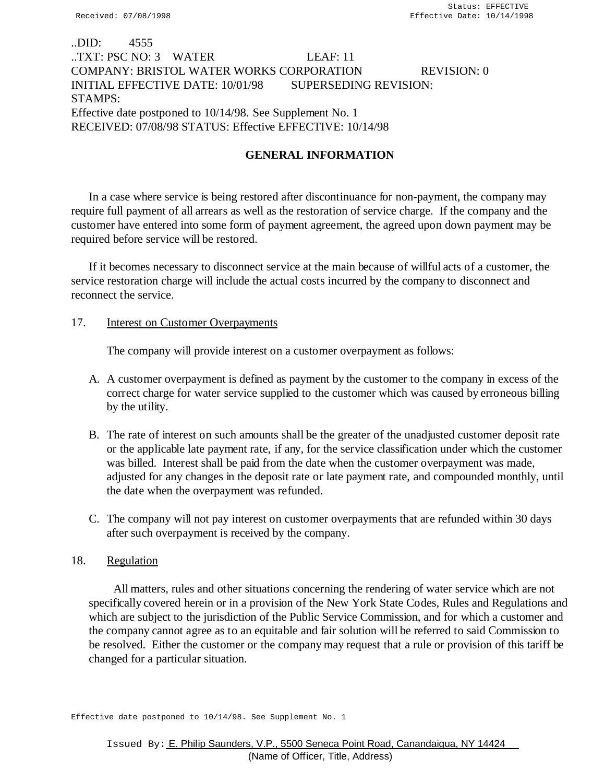# ..DID: 4555 ..TXT: PSC NO: 3 WATER LEAF: 11 COMPANY: BRISTOL WATER WORKS CORPORATION REVISION: 0 INITIAL EFFECTIVE DATE: 10/01/98 SUPERSEDING REVISION: STAMPS: Effective date postponed to 10/14/98. See Supplement No. 1 RECEIVED: 07/08/98 STATUS: Effective EFFECTIVE: 10/14/98

# **GENERAL INFORMATION**

In a case where service is being restored after discontinuance for non-payment, the company may require full payment of all arrears as well as the restoration of service charge. If the company and the customer have entered into some form of payment agreement, the agreed upon down payment may be required before service will be restored.

If it becomes necessary to disconnect service at the main because of willful acts of a customer, the service restoration charge will include the actual costs incurred by the company to disconnect and reconnect the service.

# 17. **Interest on Customer Overpayments**

The company will provide interest on a customer overpayment as follows:

- A. A customer overpayment is defined as payment by the customer to the company in excess of the correct charge for water service supplied to the customer which was caused by erroneous billing by the utility.
- B. The rate of interest on such amounts shall be the greater of the unadjusted customer deposit rate or the applicable late payment rate, if any, for the service classification under which the customer was billed. Interest shall be paid from the date when the customer overpayment was made, adjusted for any changes in the deposit rate or late payment rate, and compounded monthly, until the date when the overpayment was refunded.
- C. The company will not pay interest on customer overpayments that are refunded within 30 days after such overpayment is received by the company.

# 18. Regulation

 All matters, rules and other situations concerning the rendering of water service which are not specifically covered herein or in a provision of the New York State Codes, Rules and Regulations and which are subject to the jurisdiction of the Public Service Commission, and for which a customer and the company cannot agree as to an equitable and fair solution will be referred to said Commission to be resolved. Either the customer or the company may request that a rule or provision of this tariff be changed for a particular situation.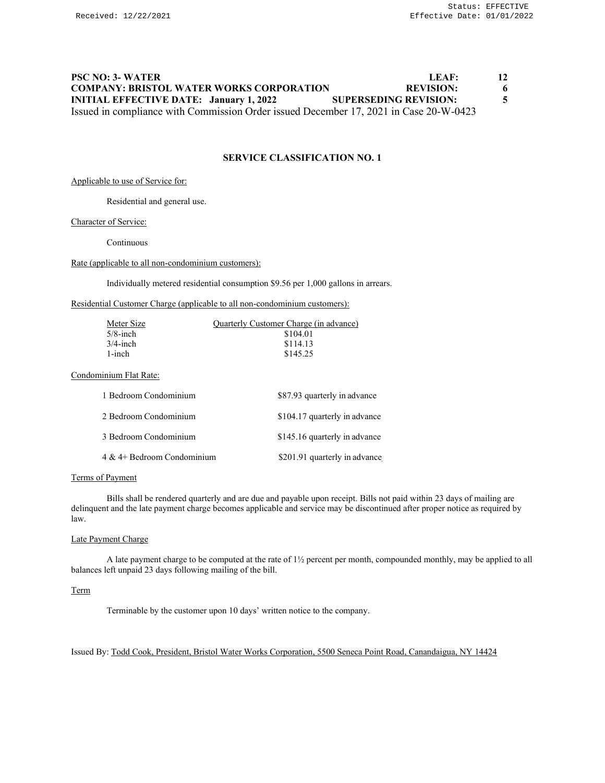# **PSC NO: 3- WATER LEAF: 12 COMPANY: BRISTOL WATER WORKS CORPORATION REVISION: 6 INITIAL EFFECTIVE DATE: January 1, 2022 SUPERSEDING REVISION: 5** Issued in compliance with Commission Order issued December 17, 2021 in Case 20-W-0423

# **SERVICE CLASSIFICATION NO. 1**

Applicable to use of Service for:

Residential and general use.

#### Character of Service:

Continuous

#### Rate (applicable to all non-condominium customers):

Individually metered residential consumption \$9.56 per 1,000 gallons in arrears.

### Residential Customer Charge (applicable to all non-condominium customers):

| Meter Size<br>$5/8$ -inch<br>$3/4$ -inch<br>$1$ -inch | Quarterly Customer Charge (in advance)<br>\$104.01<br>\$114.13<br>\$145.25 |
|-------------------------------------------------------|----------------------------------------------------------------------------|
| Condominium Flat Rate:                                |                                                                            |
| 1 Bedroom Condominium                                 | \$87.93 quarterly in advance                                               |
| 2 Bedroom Condominium                                 | \$104.17 quarterly in advance                                              |
| 3 Bedroom Condominium                                 | \$145.16 quarterly in advance                                              |
| $4 \& 4+$ Bedroom Condominium                         | \$201.91 quarterly in advance                                              |

#### Terms of Payment

Bills shall be rendered quarterly and are due and payable upon receipt. Bills not paid within 23 days of mailing are delinquent and the late payment charge becomes applicable and service may be discontinued after proper notice as required by law.

#### Late Payment Charge

A late payment charge to be computed at the rate of 1½ percent per month, compounded monthly, may be applied to all balances left unpaid 23 days following mailing of the bill.

## Term

Terminable by the customer upon 10 days' written notice to the company.

## Issued By: Todd Cook, President, Bristol Water Works Corporation, 5500 Seneca Point Road, Canandaigua, NY 14424